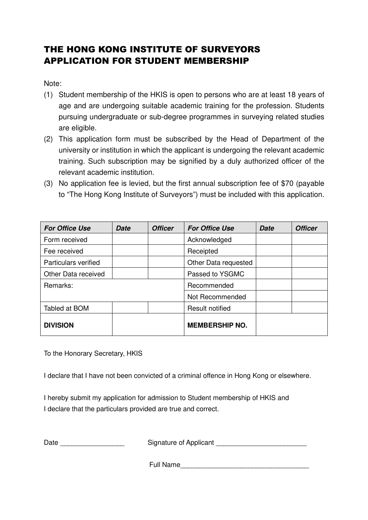## THE HONG KONG INSTITUTE OF SURVEYORS APPLICATION FOR STUDENT MEMBERSHIP

Note:

- (1) Student membership of the HKIS is open to persons who are at least 18 years of age and are undergoing suitable academic training for the profession. Students pursuing undergraduate or sub-degree programmes in surveying related studies are eligible.
- (2) This application form must be subscribed by the Head of Department of the university or institution in which the applicant is undergoing the relevant academic training. Such subscription may be signified by a duly authorized officer of the relevant academic institution.
- (3) No application fee is levied, but the first annual subscription fee of \$70 (payable to "The Hong Kong Institute of Surveyors") must be included with this application.

| <b>For Office Use</b>       | Date | <b>Officer</b> | <b>For Office Use</b>  | <b>Date</b> | <b>Officer</b> |
|-----------------------------|------|----------------|------------------------|-------------|----------------|
| Form received               |      |                | Acknowledged           |             |                |
| Fee received                |      |                | Receipted              |             |                |
| <b>Particulars verified</b> |      |                | Other Data requested   |             |                |
| Other Data received         |      |                | Passed to YSGMC        |             |                |
| Remarks:                    |      |                | Recommended            |             |                |
|                             |      |                | Not Recommended        |             |                |
| Tabled at BOM               |      |                | <b>Result notified</b> |             |                |
| <b>DIVISION</b>             |      |                | <b>MEMBERSHIP NO.</b>  |             |                |

To the Honorary Secretary, HKIS

I declare that I have not been convicted of a criminal offence in Hong Kong or elsewhere.

I hereby submit my application for admission to Student membership of HKIS and I declare that the particulars provided are true and correct.

Date \_\_\_\_\_\_\_\_\_\_\_\_\_\_\_\_\_ Signature of Applicant \_\_\_\_\_\_\_\_\_\_\_\_\_\_\_\_\_\_\_\_\_\_\_\_

Full Name\_\_\_\_\_\_\_\_\_\_\_\_\_\_\_\_\_\_\_\_\_\_\_\_\_\_\_\_\_\_\_\_\_\_